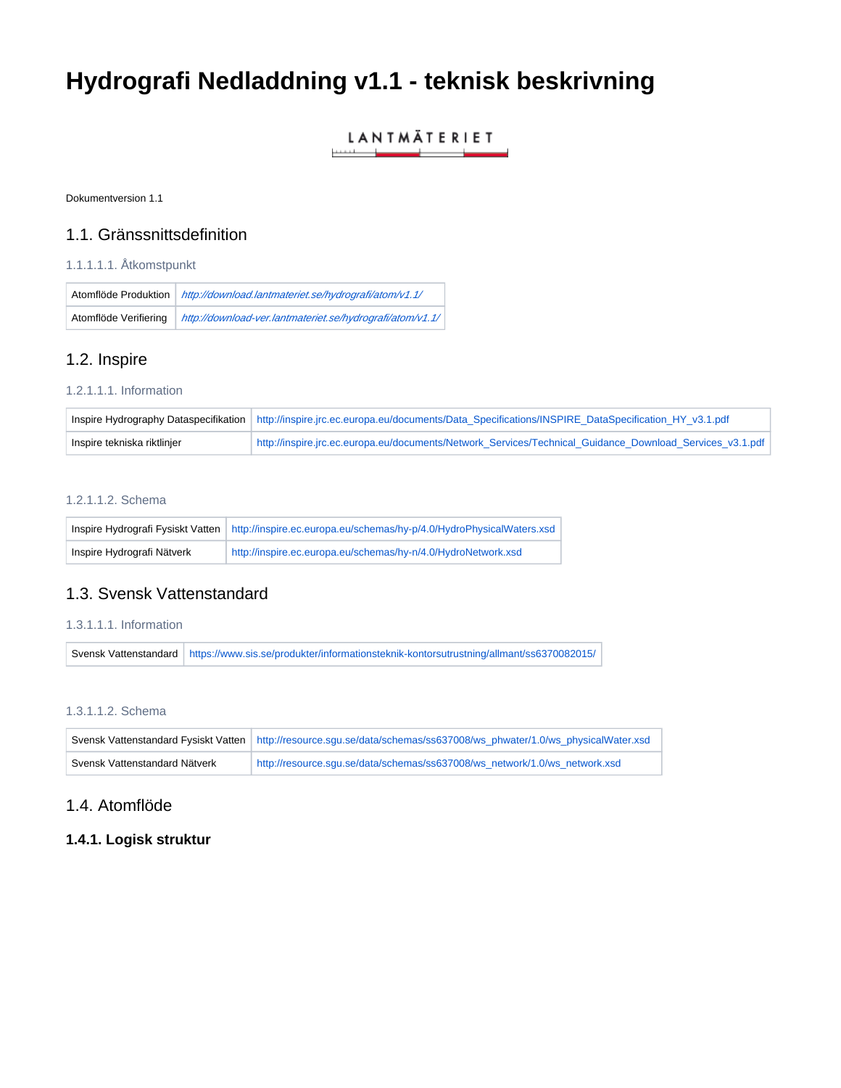# **Hydrografi Nedladdning v1.1 - teknisk beskrivning**

#### **LANTMÄTERIET** سياست المتعمل \_\_

Dokumentversion 1.1

## 1.1. Gränssnittsdefinition

## 1.1.1.1.1. Åtkomstpunkt

| Atomflöde Produktion  | http://download.lantmateriet.se/hydrografi/atom/v1.1/     |
|-----------------------|-----------------------------------------------------------|
| Atomflöde Verifiering | http://download-ver.lantmateriet.se/hydrografi/atom/v1.1/ |

# 1.2. Inspire

### 1.2.1.1.1. Information

|                             | Inspire Hydrography Dataspecifikation   http://inspire.jrc.ec.europa.eu/documents/Data_Specifications/INSPIRE_DataSpecification_HY_v3.1.pdf |
|-----------------------------|---------------------------------------------------------------------------------------------------------------------------------------------|
| Inspire tekniska riktlinjer | http://inspire.jrc.ec.europa.eu/documents/Network Services/Technical Guidance Download Services v3.1.pdf                                    |

## 1.2.1.1.2. Schema

|                            | Inspire Hydrografi Fysiskt Vatten   http://inspire.ec.europa.eu/schemas/hy-p/4.0/HydroPhysicalWaters.xsd |
|----------------------------|----------------------------------------------------------------------------------------------------------|
| Inspire Hydrografi Nätverk | http://inspire.ec.europa.eu/schemas/hy-n/4.0/HydroNetwork.xsd                                            |

## 1.3. Svensk Vattenstandard

## 1.3.1.1.1. Information

Svensk Vattenstandard <https://www.sis.se/produkter/informationsteknik-kontorsutrustning/allmant/ss6370082015/>

### 1.3.1.1.2. Schema

|                               | Svensk Vattenstandard Fysiskt Vatten   http://resource.squ.se/data/schemas/ss637008/ws phwater/1.0/ws physicalWater.xsd |
|-------------------------------|-------------------------------------------------------------------------------------------------------------------------|
| Svensk Vattenstandard Nätverk | http://resource.squ.se/data/schemas/ss637008/ws_network/1.0/ws_network.xsd                                              |

# 1.4. Atomflöde

# **1.4.1. Logisk struktur**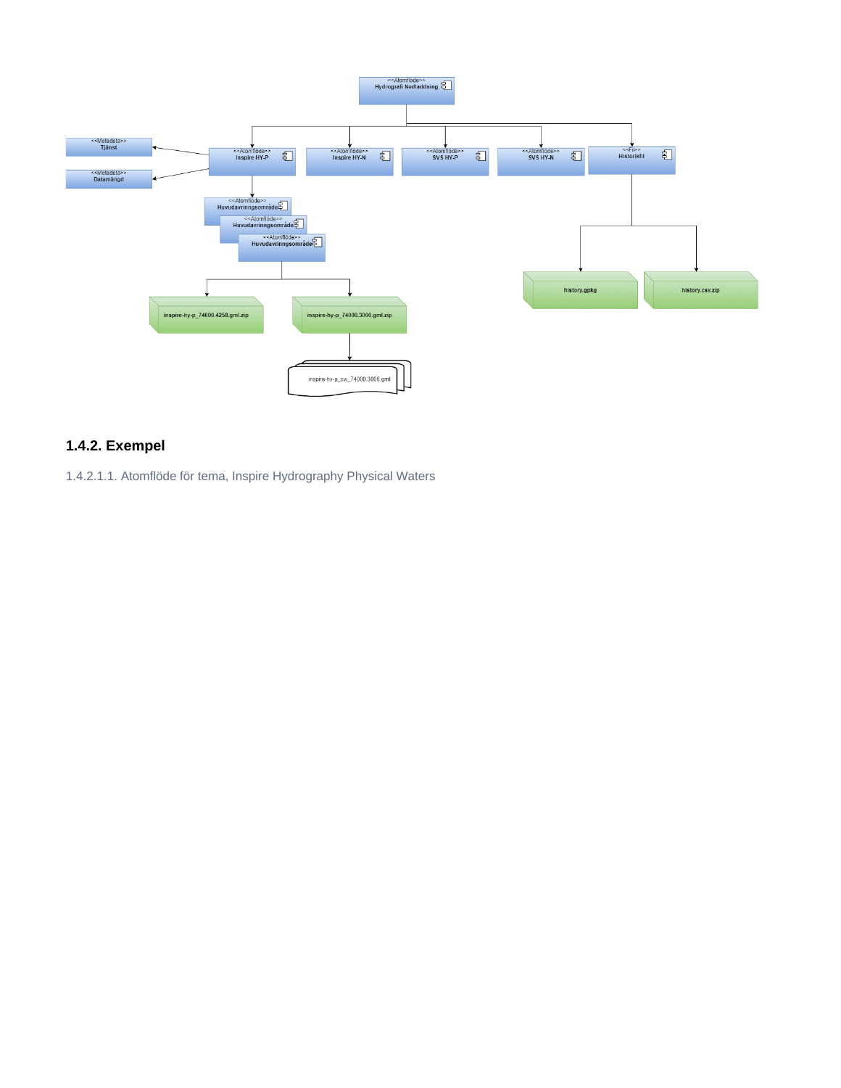

# **1.4.2. Exempel**

1.4.2.1.1. Atomflöde för tema, Inspire Hydrography Physical Waters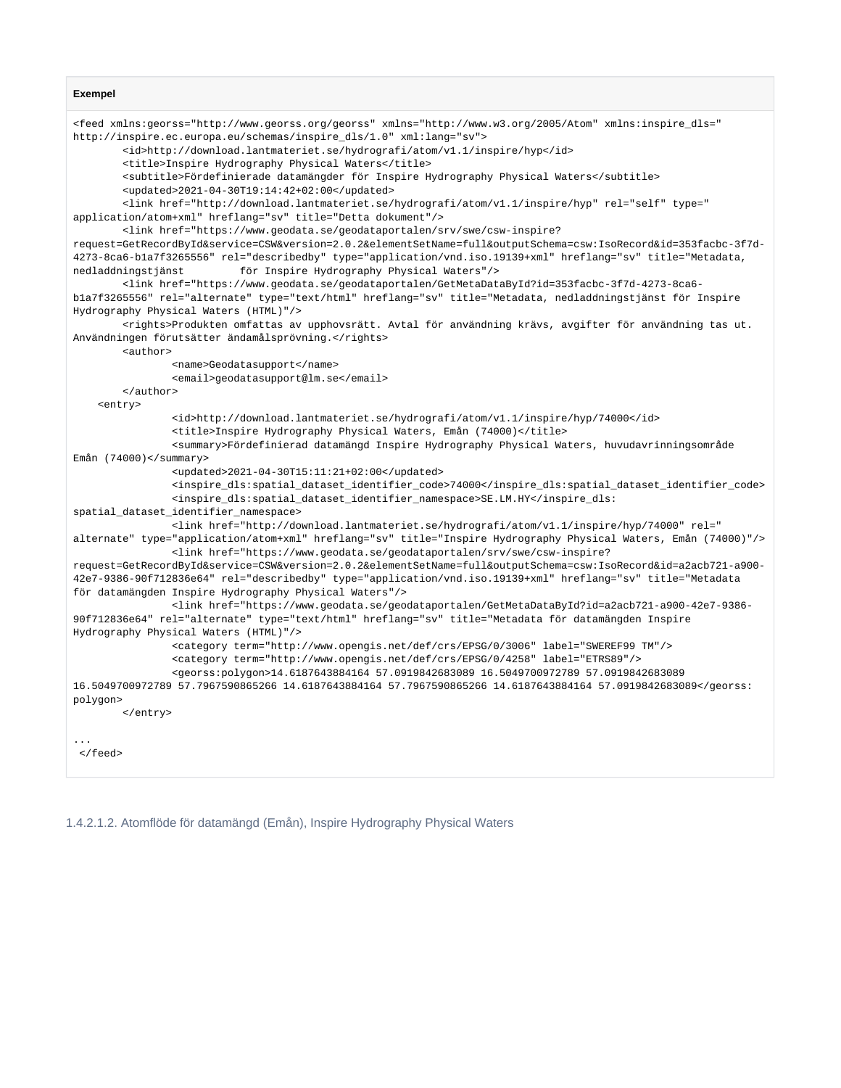#### **Exempel**

```
<feed xmlns:georss="http://www.georss.org/georss" xmlns="http://www.w3.org/2005/Atom" xmlns:inspire_dls="
http://inspire.ec.europa.eu/schemas/inspire_dls/1.0" xml:lang="sv">
         <id>http://download.lantmateriet.se/hydrografi/atom/v1.1/inspire/hyp</id>
        <title>Inspire Hydrography Physical Waters</title>
        <subtitle>Fördefinierade datamängder för Inspire Hydrography Physical Waters</subtitle>
        <updated>2021-04-30T19:14:42+02:00</updated>
        <link href="http://download.lantmateriet.se/hydrografi/atom/v1.1/inspire/hyp" rel="self" type="
application/atom+xml" hreflang="sv" title="Detta dokument"/>
        <link href="https://www.geodata.se/geodataportalen/srv/swe/csw-inspire?
request=GetRecordById&service=CSW&version=2.0.2&elementSetName=full&outputSchema=csw:IsoRecord&id=353facbc-3f7d-
4273-8ca6-b1a7f3265556" rel="describedby" type="application/vnd.iso.19139+xml" hreflang="sv" title="Metadata, 
nedladdningstjänst för Inspire Hydrography Physical Waters"/>
         <link href="https://www.geodata.se/geodataportalen/GetMetaDataById?id=353facbc-3f7d-4273-8ca6-
b1a7f3265556" rel="alternate" type="text/html" hreflang="sv" title="Metadata, nedladdningstjänst för Inspire 
Hydrography Physical Waters (HTML)"/>
         <rights>Produkten omfattas av upphovsrätt. Avtal för användning krävs, avgifter för användning tas ut. 
Användningen förutsätter ändamålsprövning.</rights>
         <author>
                 <name>Geodatasupport</name>
                 <email>geodatasupport@lm.se</email>
        </author>
     <entry>
                 <id>http://download.lantmateriet.se/hydrografi/atom/v1.1/inspire/hyp/74000</id>
                 <title>Inspire Hydrography Physical Waters, Emån (74000)</title>
                 <summary>Fördefinierad datamängd Inspire Hydrography Physical Waters, huvudavrinningsområde 
Emån (74000)</summary>
                 <updated>2021-04-30T15:11:21+02:00</updated>
                 <inspire_dls:spatial_dataset_identifier_code>74000</inspire_dls:spatial_dataset_identifier_code>
                 <inspire_dls:spatial_dataset_identifier_namespace>SE.LM.HY</inspire_dls:
spatial_dataset_identifier_namespace>
                 <link href="http://download.lantmateriet.se/hydrografi/atom/v1.1/inspire/hyp/74000" rel="
alternate" type="application/atom+xml" hreflang="sv" title="Inspire Hydrography Physical Waters, Emån (74000)"/>
                <link href="https://www.geodata.se/geodataportalen/srv/swe/csw-inspire?
request=GetRecordById&service=CSW&version=2.0.2&elementSetName=full&outputSchema=csw:IsoRecord&id=a2acb721-a900-
42e7-9386-90f712836e64" rel="describedby" type="application/vnd.iso.19139+xml" hreflang="sv" title="Metadata 
för datamängden Inspire Hydrography Physical Waters"/>
                <link href="https://www.geodata.se/geodataportalen/GetMetaDataById?id=a2acb721-a900-42e7-9386-
90f712836e64" rel="alternate" type="text/html" hreflang="sv" title="Metadata för datamängden Inspire 
Hydrography Physical Waters (HTML)"/>
                 <category term="http://www.opengis.net/def/crs/EPSG/0/3006" label="SWEREF99 TM"/>
                 <category term="http://www.opengis.net/def/crs/EPSG/0/4258" label="ETRS89"/>
                 <georss:polygon>14.6187643884164 57.0919842683089 16.5049700972789 57.0919842683089 
16.5049700972789 57.7967590865266 14.6187643884164 57.7967590865266 14.6187643884164 57.0919842683089</georss:
polygon>
        </entry>
...
 </feed>
```
1.4.2.1.2. Atomflöde för datamängd (Emån), Inspire Hydrography Physical Waters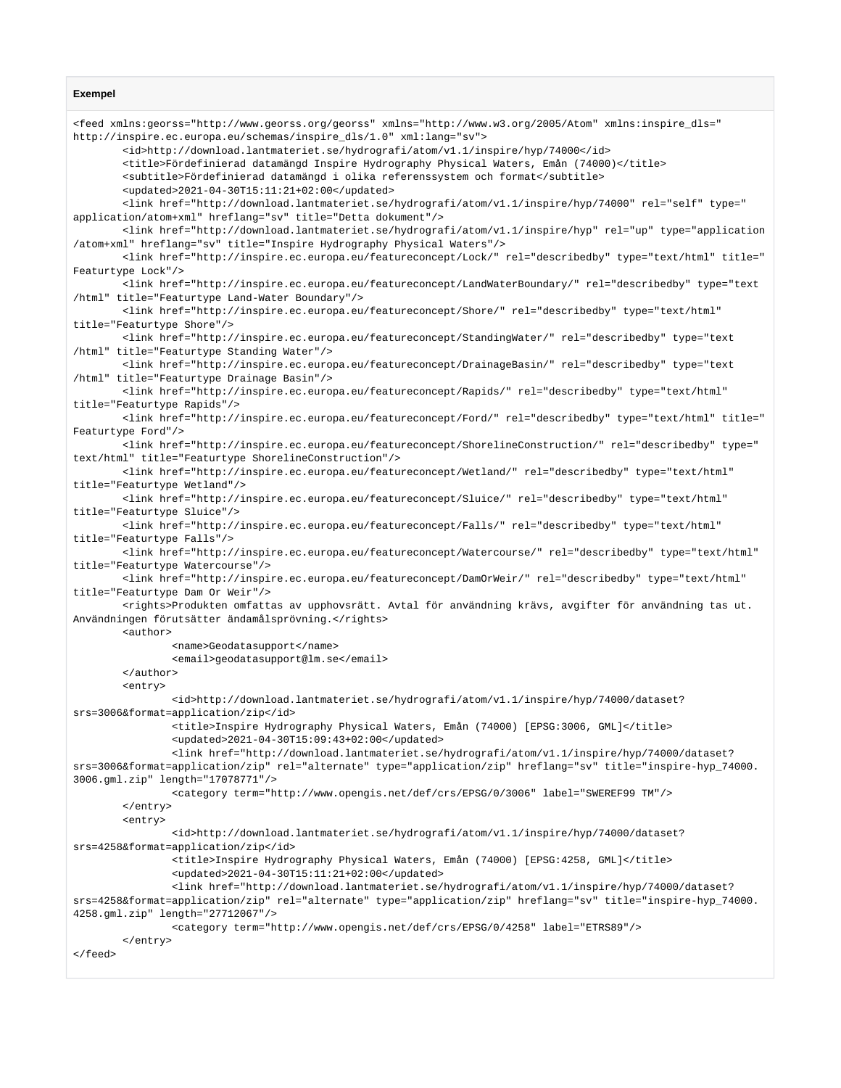#### **Exempel**

<feed xmlns:georss="http://www.georss.org/georss" xmlns="http://www.w3.org/2005/Atom" xmlns:inspire\_dls=" http://inspire.ec.europa.eu/schemas/inspire\_dls/1.0" xml:lang="sv"> <id>http://download.lantmateriet.se/hydrografi/atom/v1.1/inspire/hyp/74000</id> <title>Fördefinierad datamängd Inspire Hydrography Physical Waters, Emån (74000)</title> <subtitle>Fördefinierad datamängd i olika referenssystem och format</subtitle> <updated>2021-04-30T15:11:21+02:00</updated> <link href="http://download.lantmateriet.se/hydrografi/atom/v1.1/inspire/hyp/74000" rel="self" type=" application/atom+xml" hreflang="sv" title="Detta dokument"/> <link href="http://download.lantmateriet.se/hydrografi/atom/v1.1/inspire/hyp" rel="up" type="application /atom+xml" hreflang="sv" title="Inspire Hydrography Physical Waters"/> <link href="http://inspire.ec.europa.eu/featureconcept/Lock/" rel="describedby" type="text/html" title=" Featurtype Lock"/> <link href="http://inspire.ec.europa.eu/featureconcept/LandWaterBoundary/" rel="describedby" type="text /html" title="Featurtype Land-Water Boundary"/> <link href="http://inspire.ec.europa.eu/featureconcept/Shore/" rel="describedby" type="text/html" title="Featurtype Shore"/> <link href="http://inspire.ec.europa.eu/featureconcept/StandingWater/" rel="describedby" type="text /html" title="Featurtype Standing Water"/> <link href="http://inspire.ec.europa.eu/featureconcept/DrainageBasin/" rel="describedby" type="text /html" title="Featurtype Drainage Basin"/> <link href="http://inspire.ec.europa.eu/featureconcept/Rapids/" rel="describedby" type="text/html" title="Featurtype Rapids"/> <link href="http://inspire.ec.europa.eu/featureconcept/Ford/" rel="describedby" type="text/html" title=" Featurtype Ford"/> <link href="http://inspire.ec.europa.eu/featureconcept/ShorelineConstruction/" rel="describedby" type=" text/html" title="Featurtype ShorelineConstruction"/> <link href="http://inspire.ec.europa.eu/featureconcept/Wetland/" rel="describedby" type="text/html" title="Featurtype Wetland"/> <link href="http://inspire.ec.europa.eu/featureconcept/Sluice/" rel="describedby" type="text/html" title="Featurtype Sluice"/> <link href="http://inspire.ec.europa.eu/featureconcept/Falls/" rel="describedby" type="text/html" title="Featurtype Falls"/> <link href="http://inspire.ec.europa.eu/featureconcept/Watercourse/" rel="describedby" type="text/html" title="Featurtype Watercourse"/> <link href="http://inspire.ec.europa.eu/featureconcept/DamOrWeir/" rel="describedby" type="text/html" title="Featurtype Dam Or Weir"/> <rights>Produkten omfattas av upphovsrätt. Avtal för användning krävs, avgifter för användning tas ut. Användningen förutsätter ändamålsprövning.</rights> <author> <name>Geodatasupport</name> <email>geodatasupport@lm.se</email> </author> <entry> <id>http://download.lantmateriet.se/hydrografi/atom/v1.1/inspire/hyp/74000/dataset? srs=3006&format=application/zip</id> <title>Inspire Hydrography Physical Waters, Emån (74000) [EPSG:3006, GML]</title> <updated>2021-04-30T15:09:43+02:00</updated> <link href="http://download.lantmateriet.se/hydrografi/atom/v1.1/inspire/hyp/74000/dataset? srs=3006&format=application/zip" rel="alternate" type="application/zip" hreflang="sv" title="inspire-hyp\_74000. 3006.gml.zip" length="17078771"/> <category term="http://www.opengis.net/def/crs/EPSG/0/3006" label="SWEREF99 TM"/> </entry> <entry> <id>http://download.lantmateriet.se/hydrografi/atom/v1.1/inspire/hyp/74000/dataset? srs=4258&format=application/zip</id> <title>Inspire Hydrography Physical Waters, Emån (74000) [EPSG:4258, GML]</title> <updated>2021-04-30T15:11:21+02:00</updated> <link href="http://download.lantmateriet.se/hydrografi/atom/v1.1/inspire/hyp/74000/dataset? srs=4258&format=application/zip" rel="alternate" type="application/zip" hreflang="sv" title="inspire-hyp\_74000. 4258.gml.zip" length="27712067"/> <category term="http://www.opengis.net/def/crs/EPSG/0/4258" label="ETRS89"/> </entry> </feed>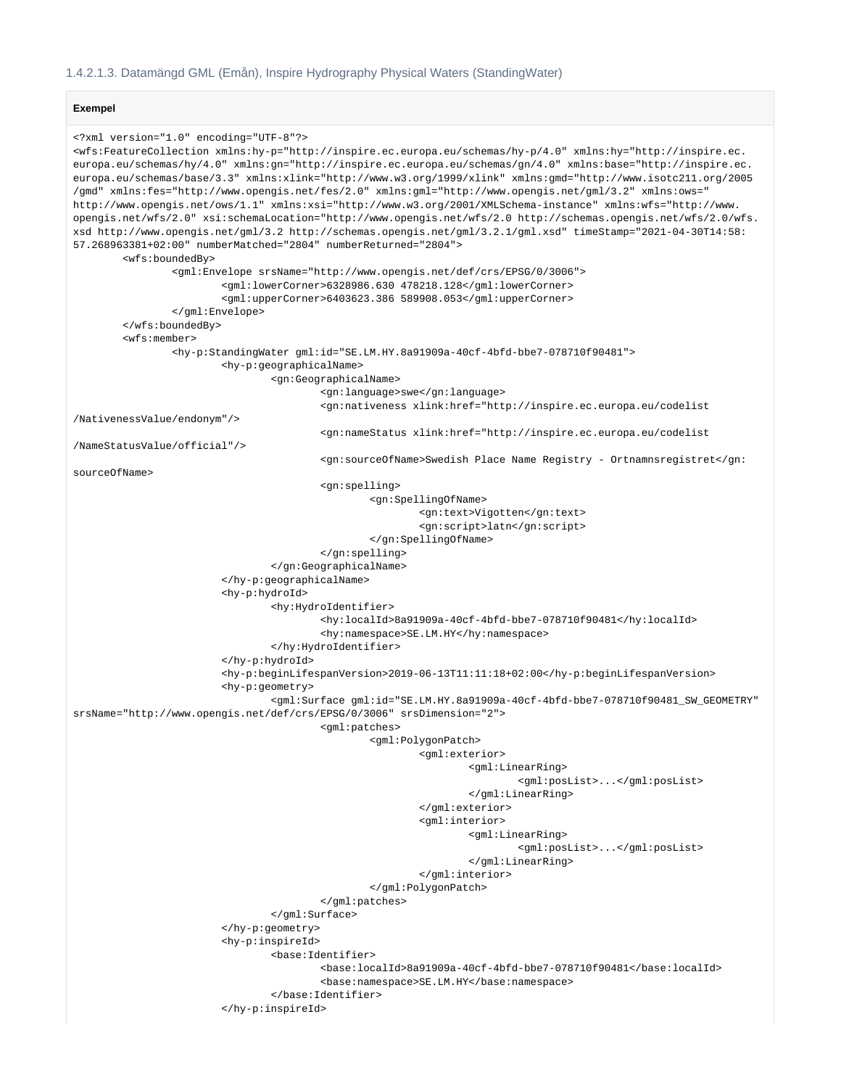#### **Exempel**

```
<?xml version="1.0" encoding="UTF-8"?>
```

```
<wfs:FeatureCollection xmlns:hy-p="http://inspire.ec.europa.eu/schemas/hy-p/4.0" xmlns:hy="http://inspire.ec.
europa.eu/schemas/hy/4.0" xmlns:gn="http://inspire.ec.europa.eu/schemas/gn/4.0" xmlns:base="http://inspire.ec.
europa.eu/schemas/base/3.3" xmlns:xlink="http://www.w3.org/1999/xlink" xmlns:gmd="http://www.isotc211.org/2005
/gmd" xmlns:fes="http://www.opengis.net/fes/2.0" xmlns:gml="http://www.opengis.net/gml/3.2" xmlns:ows="
http://www.opengis.net/ows/1.1" xmlns:xsi="http://www.w3.org/2001/XMLSchema-instance" xmlns:wfs="http://www.
opengis.net/wfs/2.0" xsi:schemaLocation="http://www.opengis.net/wfs/2.0 http://schemas.opengis.net/wfs/2.0/wfs.
xsd http://www.opengis.net/gml/3.2 http://schemas.opengis.net/gml/3.2.1/gml.xsd" timeStamp="2021-04-30T14:58:
57.268963381+02:00" numberMatched="2804" numberReturned="2804">
         <wfs:boundedBy>
                 <gml:Envelope srsName="http://www.opengis.net/def/crs/EPSG/0/3006">
                         <gml:lowerCorner>6328986.630 478218.128</gml:lowerCorner>
                          <gml:upperCorner>6403623.386 589908.053</gml:upperCorner>
                 </gml:Envelope>
         </wfs:boundedBy>
         <wfs:member>
                 <hy-p:StandingWater gml:id="SE.LM.HY.8a91909a-40cf-4bfd-bbe7-078710f90481">
                          <hy-p:geographicalName>
                                  <gn:GeographicalName>
                                          <gn:language>swe</gn:language>
                                          <gn:nativeness xlink:href="http://inspire.ec.europa.eu/codelist
/NativenessValue/endonym"/>
                                          <gn:nameStatus xlink:href="http://inspire.ec.europa.eu/codelist
/NameStatusValue/official"/>
                                          <gn:sourceOfName>Swedish Place Name Registry - Ortnamnsregistret</gn:
sourceOfName>
                                          <gn:spelling>
                                                  <gn:SpellingOfName>
                                                          <gn:text>Vigotten</gn:text>
                                                           <gn:script>latn</gn:script>
                                                  </gn:SpellingOfName>
                                          </gn:spelling>
                                  </gn:GeographicalName>
                          </hy-p:geographicalName>
                          <hy-p:hydroId>
                                  <hy:HydroIdentifier>
                                          <hy:localId>8a91909a-40cf-4bfd-bbe7-078710f90481</hy:localId>
                                          <hy:namespace>SE.LM.HY</hy:namespace>
                                  </hy:HydroIdentifier>
                          </hy-p:hydroId>
                          <hy-p:beginLifespanVersion>2019-06-13T11:11:18+02:00</hy-p:beginLifespanVersion>
                          <hy-p:geometry>
                                  <gml:Surface gml:id="SE.LM.HY.8a91909a-40cf-4bfd-bbe7-078710f90481_SW_GEOMETRY" 
srsName="http://www.opengis.net/def/crs/EPSG/0/3006" srsDimension="2">
                                          <gml:patches>
                                                  <gml:PolygonPatch>
                                                           <gml:exterior>
                                                                   <gml:LinearRing>
                                                                           <gml:posList>...</gml:posList>
                                                                   </gml:LinearRing>
                                                           </gml:exterior>
                                                           <gml:interior>
                                                                   <gml:LinearRing>
                                                                           <gml:posList>...</gml:posList>
                                                                   </gml:LinearRing>
                                                           </gml:interior>
                                                  </gml:PolygonPatch>
                                          </gml:patches>
                                  </gml:Surface>
                          </hy-p:geometry>
                          <hy-p:inspireId>
                                  <base:Identifier>
                                          <base:localId>8a91909a-40cf-4bfd-bbe7-078710f90481</base:localId>
                                          <base:namespace>SE.LM.HY</base:namespace>
                                  </base:Identifier>
                          </hy-p:inspireId>
```